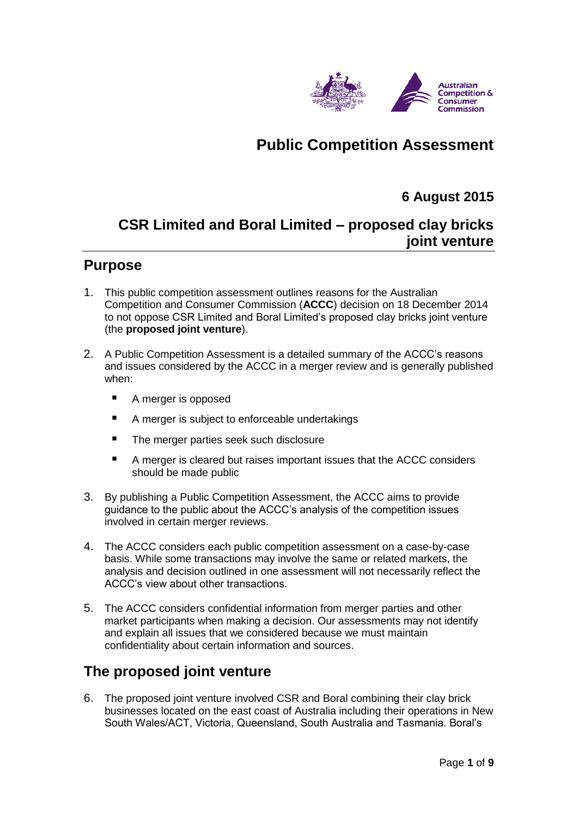

# **Public Competition Assessment**

### **6 August 2015**

# **CSR Limited and Boral Limited – proposed clay bricks joint venture**

### **Purpose**

- 1. This public competition assessment outlines reasons for the Australian Competition and Consumer Commission (**ACCC**) decision on 18 December 2014 to not oppose CSR Limited and Boral Limited's proposed clay bricks joint venture (the **proposed joint venture**).
- 2. A Public Competition Assessment is a detailed summary of the ACCC's reasons and issues considered by the ACCC in a merger review and is generally published when:
	- A merger is opposed
	- A merger is subject to enforceable undertakings
	- **The merger parties seek such disclosure**
	- A merger is cleared but raises important issues that the ACCC considers should be made public
- 3. By publishing a Public Competition Assessment, the ACCC aims to provide guidance to the public about the ACCC's analysis of the competition issues involved in certain merger reviews.
- 4. The ACCC considers each public competition assessment on a case-by-case basis. While some transactions may involve the same or related markets, the analysis and decision outlined in one assessment will not necessarily reflect the ACCC's view about other transactions.
- 5. The ACCC considers confidential information from merger parties and other market participants when making a decision. Our assessments may not identify and explain all issues that we considered because we must maintain confidentiality about certain information and sources.

### **The proposed joint venture**

6. The proposed joint venture involved CSR and Boral combining their clay brick businesses located on the east coast of Australia including their operations in New South Wales/ACT, Victoria, Queensland, South Australia and Tasmania. Boral's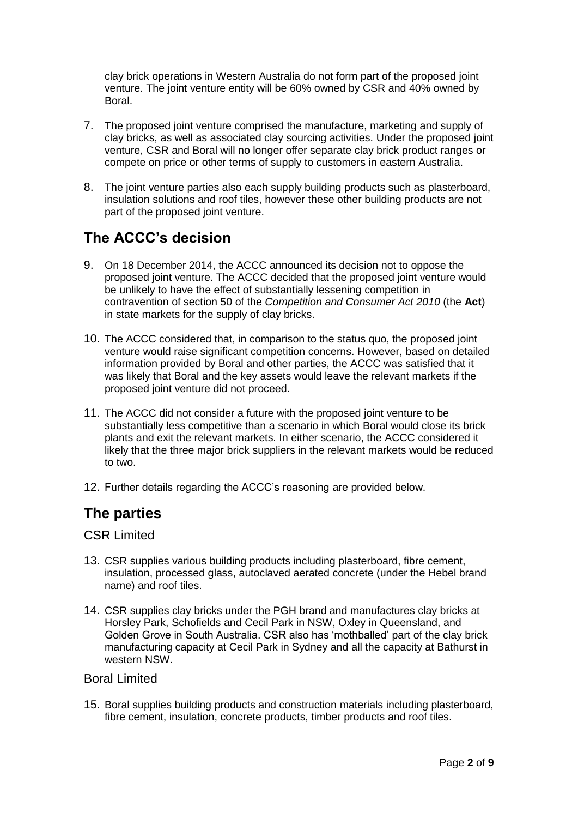clay brick operations in Western Australia do not form part of the proposed joint venture. The joint venture entity will be 60% owned by CSR and 40% owned by Boral.

- 7. The proposed joint venture comprised the manufacture, marketing and supply of clay bricks, as well as associated clay sourcing activities. Under the proposed joint venture, CSR and Boral will no longer offer separate clay brick product ranges or compete on price or other terms of supply to customers in eastern Australia.
- 8. The joint venture parties also each supply building products such as plasterboard, insulation solutions and roof tiles, however these other building products are not part of the proposed joint venture.

# **The ACCC's decision**

- 9. On 18 December 2014, the ACCC announced its decision not to oppose the proposed joint venture. The ACCC decided that the proposed joint venture would be unlikely to have the effect of substantially lessening competition in contravention of section 50 of the *Competition and Consumer Act 2010* (the **Act**) in state markets for the supply of clay bricks.
- 10. The ACCC considered that, in comparison to the status quo, the proposed joint venture would raise significant competition concerns. However, based on detailed information provided by Boral and other parties, the ACCC was satisfied that it was likely that Boral and the key assets would leave the relevant markets if the proposed joint venture did not proceed.
- 11. The ACCC did not consider a future with the proposed joint venture to be substantially less competitive than a scenario in which Boral would close its brick plants and exit the relevant markets. In either scenario, the ACCC considered it likely that the three major brick suppliers in the relevant markets would be reduced to two.
- 12. Further details regarding the ACCC's reasoning are provided below.

### **The parties**

#### CSR Limited

- 13. CSR supplies various building products including plasterboard, fibre cement, insulation, processed glass, autoclaved aerated concrete (under the Hebel brand name) and roof tiles.
- 14. CSR supplies clay bricks under the PGH brand and manufactures clay bricks at Horsley Park, Schofields and Cecil Park in NSW, Oxley in Queensland, and Golden Grove in South Australia. CSR also has 'mothballed' part of the clay brick manufacturing capacity at Cecil Park in Sydney and all the capacity at Bathurst in western NSW.

#### Boral Limited

15. Boral supplies building products and construction materials including plasterboard, fibre cement, insulation, concrete products, timber products and roof tiles.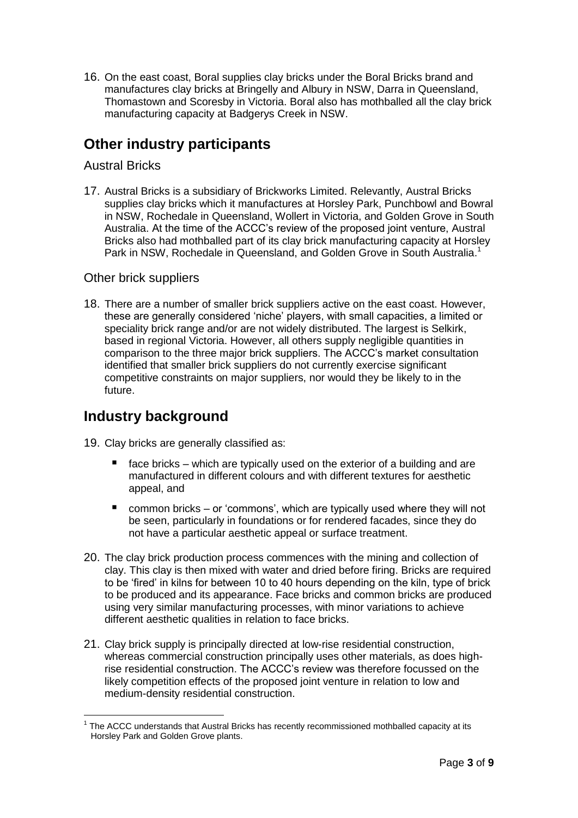16. On the east coast, Boral supplies clay bricks under the Boral Bricks brand and manufactures clay bricks at Bringelly and Albury in NSW, Darra in Queensland, Thomastown and Scoresby in Victoria. Boral also has mothballed all the clay brick manufacturing capacity at Badgerys Creek in NSW.

# **Other industry participants**

#### Austral Bricks

17. Austral Bricks is a subsidiary of Brickworks Limited. Relevantly, Austral Bricks supplies clay bricks which it manufactures at Horsley Park, Punchbowl and Bowral in NSW, Rochedale in Queensland, Wollert in Victoria, and Golden Grove in South Australia. At the time of the ACCC's review of the proposed joint venture, Austral Bricks also had mothballed part of its clay brick manufacturing capacity at Horsley Park in NSW, Rochedale in Queensland, and Golden Grove in South Australia.<sup>1</sup>

#### Other brick suppliers

18. There are a number of smaller brick suppliers active on the east coast. However, these are generally considered 'niche' players, with small capacities, a limited or speciality brick range and/or are not widely distributed. The largest is Selkirk, based in regional Victoria. However, all others supply negligible quantities in comparison to the three major brick suppliers. The ACCC's market consultation identified that smaller brick suppliers do not currently exercise significant competitive constraints on major suppliers, nor would they be likely to in the future.

### **Industry background**

- 19. Clay bricks are generally classified as:
	- $\blacksquare$  face bricks which are typically used on the exterior of a building and are manufactured in different colours and with different textures for aesthetic appeal, and
	- common bricks or 'commons', which are typically used where they will not be seen, particularly in foundations or for rendered facades, since they do not have a particular aesthetic appeal or surface treatment.
- 20. The clay brick production process commences with the mining and collection of clay. This clay is then mixed with water and dried before firing. Bricks are required to be 'fired' in kilns for between 10 to 40 hours depending on the kiln, type of brick to be produced and its appearance. Face bricks and common bricks are produced using very similar manufacturing processes, with minor variations to achieve different aesthetic qualities in relation to face bricks.
- 21. Clay brick supply is principally directed at low-rise residential construction, whereas commercial construction principally uses other materials, as does highrise residential construction. The ACCC's review was therefore focussed on the likely competition effects of the proposed joint venture in relation to low and medium-density residential construction.

 $\overline{a}$  $1$  The ACCC understands that Austral Bricks has recently recommissioned mothballed capacity at its Horsley Park and Golden Grove plants.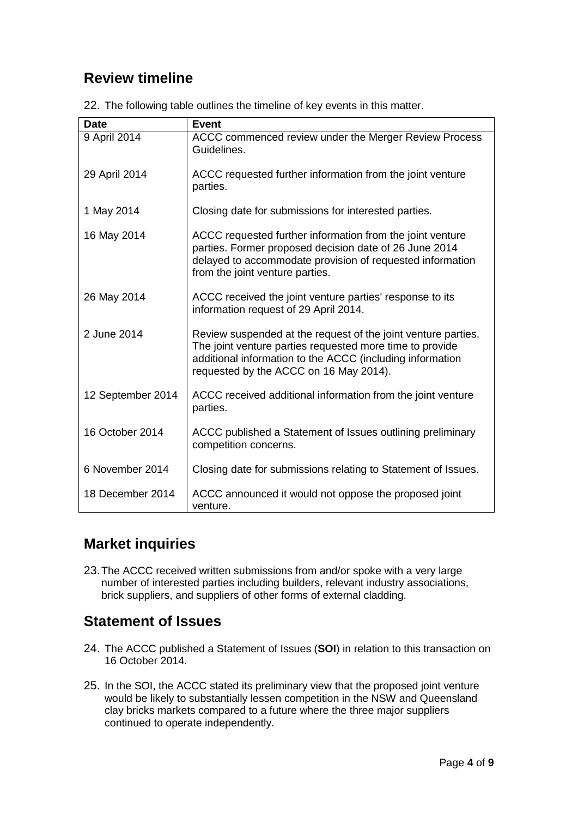# **Review timeline**

| <b>Date</b>       | <b>Event</b>                                                                                                                                                                                                                     |
|-------------------|----------------------------------------------------------------------------------------------------------------------------------------------------------------------------------------------------------------------------------|
| 9 April 2014      | ACCC commenced review under the Merger Review Process<br>Guidelines.                                                                                                                                                             |
| 29 April 2014     | ACCC requested further information from the joint venture<br>parties.                                                                                                                                                            |
| 1 May 2014        | Closing date for submissions for interested parties.                                                                                                                                                                             |
| 16 May 2014       | ACCC requested further information from the joint venture<br>parties. Former proposed decision date of 26 June 2014<br>delayed to accommodate provision of requested information<br>from the joint venture parties.              |
| 26 May 2014       | ACCC received the joint venture parties' response to its<br>information request of 29 April 2014.                                                                                                                                |
| 2 June 2014       | Review suspended at the request of the joint venture parties.<br>The joint venture parties requested more time to provide<br>additional information to the ACCC (including information<br>requested by the ACCC on 16 May 2014). |
| 12 September 2014 | ACCC received additional information from the joint venture<br>parties.                                                                                                                                                          |
| 16 October 2014   | ACCC published a Statement of Issues outlining preliminary<br>competition concerns.                                                                                                                                              |
| 6 November 2014   | Closing date for submissions relating to Statement of Issues.                                                                                                                                                                    |
| 18 December 2014  | ACCC announced it would not oppose the proposed joint<br>venture.                                                                                                                                                                |

22. The following table outlines the timeline of key events in this matter.

# **Market inquiries**

23.The ACCC received written submissions from and/or spoke with a very large number of interested parties including builders, relevant industry associations, brick suppliers, and suppliers of other forms of external cladding.

# **Statement of Issues**

- 24. The ACCC published a Statement of Issues (**SOI**) in relation to this transaction on 16 October 2014.
- 25. In the SOI, the ACCC stated its preliminary view that the proposed joint venture would be likely to substantially lessen competition in the NSW and Queensland clay bricks markets compared to a future where the three major suppliers continued to operate independently.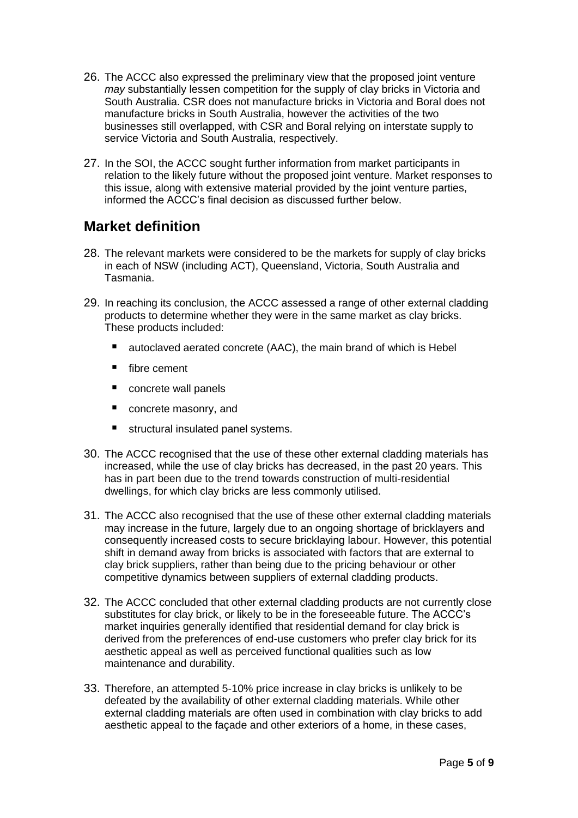- 26. The ACCC also expressed the preliminary view that the proposed joint venture *may* substantially lessen competition for the supply of clay bricks in Victoria and South Australia. CSR does not manufacture bricks in Victoria and Boral does not manufacture bricks in South Australia, however the activities of the two businesses still overlapped, with CSR and Boral relying on interstate supply to service Victoria and South Australia, respectively.
- 27. In the SOI, the ACCC sought further information from market participants in relation to the likely future without the proposed joint venture. Market responses to this issue, along with extensive material provided by the joint venture parties, informed the ACCC's final decision as discussed further below.

## **Market definition**

- 28. The relevant markets were considered to be the markets for supply of clay bricks in each of NSW (including ACT), Queensland, Victoria, South Australia and Tasmania.
- 29. In reaching its conclusion, the ACCC assessed a range of other external cladding products to determine whether they were in the same market as clay bricks. These products included:
	- autoclaved aerated concrete (AAC), the main brand of which is Hebel
	- fibre cement
	- concrete wall panels
	- concrete masonry, and
	- structural insulated panel systems.
- 30. The ACCC recognised that the use of these other external cladding materials has increased, while the use of clay bricks has decreased, in the past 20 years. This has in part been due to the trend towards construction of multi-residential dwellings, for which clay bricks are less commonly utilised.
- 31. The ACCC also recognised that the use of these other external cladding materials may increase in the future, largely due to an ongoing shortage of bricklayers and consequently increased costs to secure bricklaying labour. However, this potential shift in demand away from bricks is associated with factors that are external to clay brick suppliers, rather than being due to the pricing behaviour or other competitive dynamics between suppliers of external cladding products.
- 32. The ACCC concluded that other external cladding products are not currently close substitutes for clay brick, or likely to be in the foreseeable future. The ACCC's market inquiries generally identified that residential demand for clay brick is derived from the preferences of end-use customers who prefer clay brick for its aesthetic appeal as well as perceived functional qualities such as low maintenance and durability.
- 33. Therefore, an attempted 5-10% price increase in clay bricks is unlikely to be defeated by the availability of other external cladding materials. While other external cladding materials are often used in combination with clay bricks to add aesthetic appeal to the façade and other exteriors of a home, in these cases,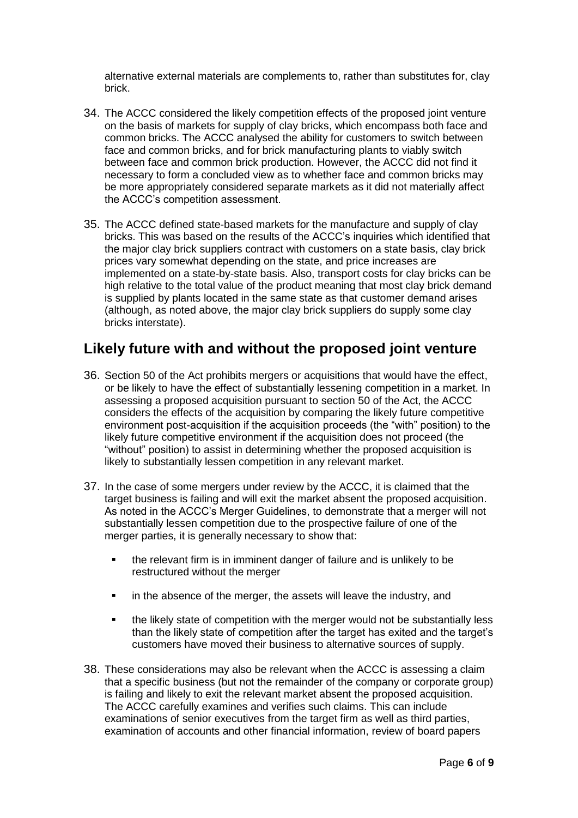alternative external materials are complements to, rather than substitutes for, clay brick.

- 34. The ACCC considered the likely competition effects of the proposed joint venture on the basis of markets for supply of clay bricks, which encompass both face and common bricks. The ACCC analysed the ability for customers to switch between face and common bricks, and for brick manufacturing plants to viably switch between face and common brick production. However, the ACCC did not find it necessary to form a concluded view as to whether face and common bricks may be more appropriately considered separate markets as it did not materially affect the ACCC's competition assessment.
- 35. The ACCC defined state-based markets for the manufacture and supply of clay bricks. This was based on the results of the ACCC's inquiries which identified that the major clay brick suppliers contract with customers on a state basis, clay brick prices vary somewhat depending on the state, and price increases are implemented on a state-by-state basis. Also, transport costs for clay bricks can be high relative to the total value of the product meaning that most clay brick demand is supplied by plants located in the same state as that customer demand arises (although, as noted above, the major clay brick suppliers do supply some clay bricks interstate).

### **Likely future with and without the proposed joint venture**

- 36. Section 50 of the Act prohibits mergers or acquisitions that would have the effect, or be likely to have the effect of substantially lessening competition in a market. In assessing a proposed acquisition pursuant to section 50 of the Act, the ACCC considers the effects of the acquisition by comparing the likely future competitive environment post-acquisition if the acquisition proceeds (the "with" position) to the likely future competitive environment if the acquisition does not proceed (the "without" position) to assist in determining whether the proposed acquisition is likely to substantially lessen competition in any relevant market.
- 37. In the case of some mergers under review by the ACCC, it is claimed that the target business is failing and will exit the market absent the proposed acquisition. As noted in the ACCC's Merger Guidelines, to demonstrate that a merger will not substantially lessen competition due to the prospective failure of one of the merger parties, it is generally necessary to show that:
	- the relevant firm is in imminent danger of failure and is unlikely to be restructured without the merger
	- **EXEDER** in the absence of the merger, the assets will leave the industry, and
	- the likely state of competition with the merger would not be substantially less than the likely state of competition after the target has exited and the target's customers have moved their business to alternative sources of supply.
- 38. These considerations may also be relevant when the ACCC is assessing a claim that a specific business (but not the remainder of the company or corporate group) is failing and likely to exit the relevant market absent the proposed acquisition. The ACCC carefully examines and verifies such claims. This can include examinations of senior executives from the target firm as well as third parties, examination of accounts and other financial information, review of board papers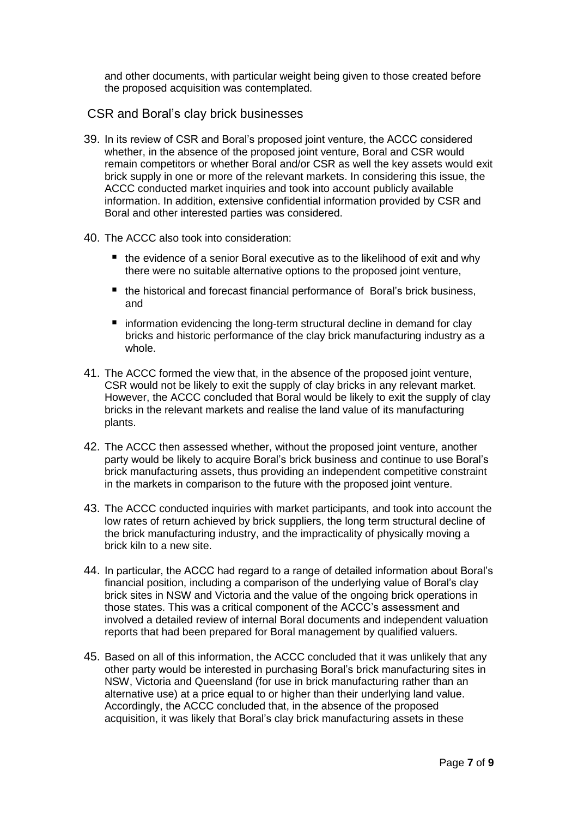and other documents, with particular weight being given to those created before the proposed acquisition was contemplated.

#### CSR and Boral's clay brick businesses

- 39. In its review of CSR and Boral's proposed joint venture, the ACCC considered whether, in the absence of the proposed joint venture, Boral and CSR would remain competitors or whether Boral and/or CSR as well the key assets would exit brick supply in one or more of the relevant markets. In considering this issue, the ACCC conducted market inquiries and took into account publicly available information. In addition, extensive confidential information provided by CSR and Boral and other interested parties was considered.
- 40. The ACCC also took into consideration:
	- the evidence of a senior Boral executive as to the likelihood of exit and why there were no suitable alternative options to the proposed joint venture,
	- the historical and forecast financial performance of Boral's brick business, and
	- **n** information evidencing the long-term structural decline in demand for clay bricks and historic performance of the clay brick manufacturing industry as a whole.
- 41. The ACCC formed the view that, in the absence of the proposed joint venture, CSR would not be likely to exit the supply of clay bricks in any relevant market. However, the ACCC concluded that Boral would be likely to exit the supply of clay bricks in the relevant markets and realise the land value of its manufacturing plants.
- 42. The ACCC then assessed whether, without the proposed joint venture, another party would be likely to acquire Boral's brick business and continue to use Boral's brick manufacturing assets, thus providing an independent competitive constraint in the markets in comparison to the future with the proposed joint venture.
- 43. The ACCC conducted inquiries with market participants, and took into account the low rates of return achieved by brick suppliers, the long term structural decline of the brick manufacturing industry, and the impracticality of physically moving a brick kiln to a new site.
- 44. In particular, the ACCC had regard to a range of detailed information about Boral's financial position, including a comparison of the underlying value of Boral's clay brick sites in NSW and Victoria and the value of the ongoing brick operations in those states. This was a critical component of the ACCC's assessment and involved a detailed review of internal Boral documents and independent valuation reports that had been prepared for Boral management by qualified valuers.
- 45. Based on all of this information, the ACCC concluded that it was unlikely that any other party would be interested in purchasing Boral's brick manufacturing sites in NSW, Victoria and Queensland (for use in brick manufacturing rather than an alternative use) at a price equal to or higher than their underlying land value. Accordingly, the ACCC concluded that, in the absence of the proposed acquisition, it was likely that Boral's clay brick manufacturing assets in these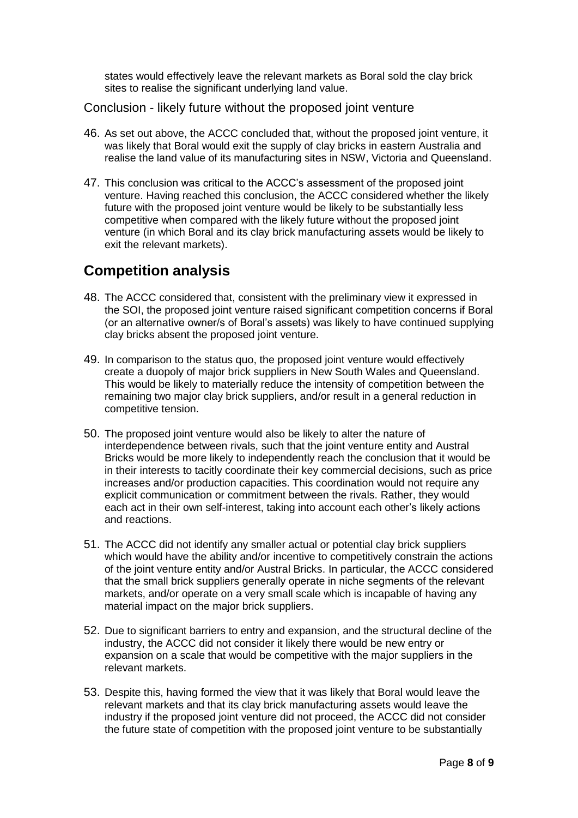states would effectively leave the relevant markets as Boral sold the clay brick sites to realise the significant underlying land value.

Conclusion - likely future without the proposed joint venture

- 46. As set out above, the ACCC concluded that, without the proposed joint venture, it was likely that Boral would exit the supply of clay bricks in eastern Australia and realise the land value of its manufacturing sites in NSW, Victoria and Queensland.
- 47. This conclusion was critical to the ACCC's assessment of the proposed joint venture. Having reached this conclusion, the ACCC considered whether the likely future with the proposed joint venture would be likely to be substantially less competitive when compared with the likely future without the proposed joint venture (in which Boral and its clay brick manufacturing assets would be likely to exit the relevant markets).

## **Competition analysis**

- 48. The ACCC considered that, consistent with the preliminary view it expressed in the SOI, the proposed joint venture raised significant competition concerns if Boral (or an alternative owner/s of Boral's assets) was likely to have continued supplying clay bricks absent the proposed joint venture.
- 49. In comparison to the status quo, the proposed joint venture would effectively create a duopoly of major brick suppliers in New South Wales and Queensland. This would be likely to materially reduce the intensity of competition between the remaining two major clay brick suppliers, and/or result in a general reduction in competitive tension.
- 50. The proposed joint venture would also be likely to alter the nature of interdependence between rivals, such that the joint venture entity and Austral Bricks would be more likely to independently reach the conclusion that it would be in their interests to tacitly coordinate their key commercial decisions, such as price increases and/or production capacities. This coordination would not require any explicit communication or commitment between the rivals. Rather, they would each act in their own self-interest, taking into account each other's likely actions and reactions.
- 51. The ACCC did not identify any smaller actual or potential clay brick suppliers which would have the ability and/or incentive to competitively constrain the actions of the joint venture entity and/or Austral Bricks. In particular, the ACCC considered that the small brick suppliers generally operate in niche segments of the relevant markets, and/or operate on a very small scale which is incapable of having any material impact on the major brick suppliers.
- 52. Due to significant barriers to entry and expansion, and the structural decline of the industry, the ACCC did not consider it likely there would be new entry or expansion on a scale that would be competitive with the major suppliers in the relevant markets.
- 53. Despite this, having formed the view that it was likely that Boral would leave the relevant markets and that its clay brick manufacturing assets would leave the industry if the proposed joint venture did not proceed, the ACCC did not consider the future state of competition with the proposed joint venture to be substantially